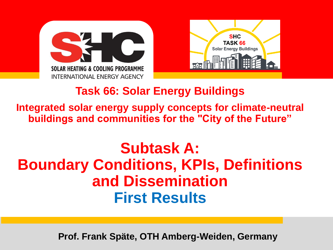



### **Task 66: Solar Energy Buildings**

**Integrated solar energy supply concepts for climate-neutral buildings and communities for the "City of the Future"**

## **Subtask A: Boundary Conditions, KPIs, Definitions and Dissemination First Results**

**Prof. Frank Späte, OTH Amberg-Weiden, Germany**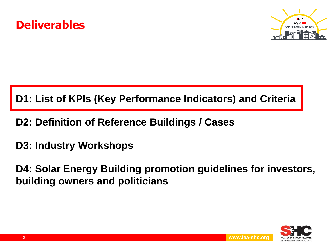



#### **D1: List of KPIs (Key Performance Indicators) and Criteria**

- **D2: Definition of Reference Buildings / Cases**
- **D3: Industry Workshops**

**D4: Solar Energy Building promotion guidelines for investors, building owners and politicians**

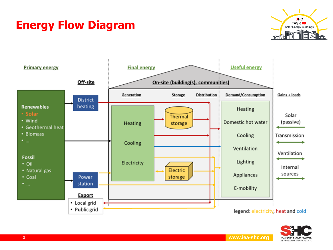### **Energy Flow Diagram**





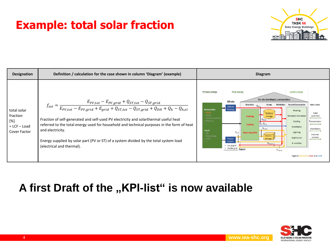### **Example: total solar fraction**





#### **A first Draft of the "KPI-list" is now available**